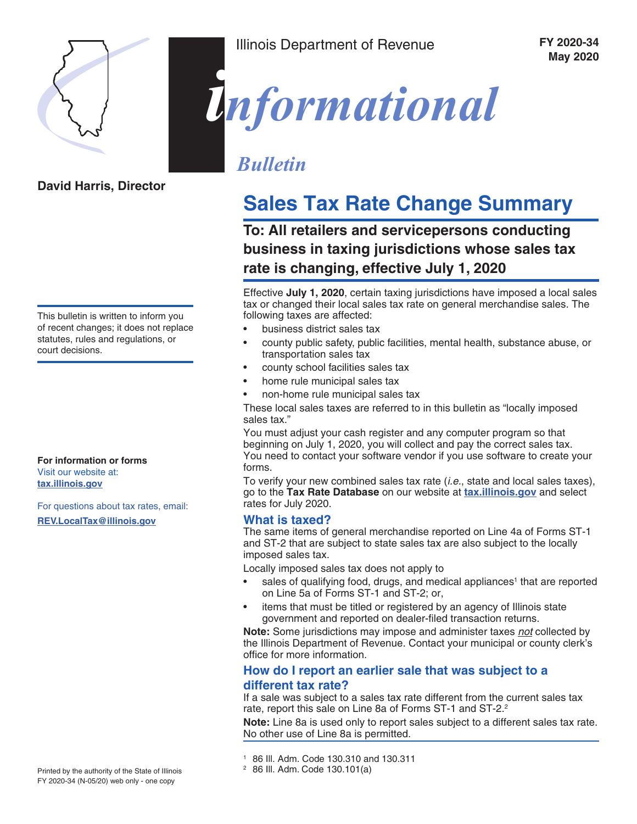

**David Harris, Director**

Illinois Department of Revenue

 **FY 2020-34 May 2020**



## *Bulletin*

# **Sales Tax Rate Change Summary**

**To: All retailers and servicepersons conducting business in taxing jurisdictions whose sales tax rate is changing, effective July 1, 2020**

Effective **July 1, 2020**, certain taxing jurisdictions have imposed a local sales tax or changed their local sales tax rate on general merchandise sales. The following taxes are affected:

- business district sales tax
- county public safety, public facilities, mental health, substance abuse, or transportation sales tax
- county school facilities sales tax
- home rule municipal sales tax
- non-home rule municipal sales tax

These local sales taxes are referred to in this bulletin as "locally imposed sales tax."

You must adjust your cash register and any computer program so that beginning on July 1, 2020, you will collect and pay the correct sales tax. You need to contact your software vendor if you use software to create your forms.

To verify your new combined sales tax rate (*i.e.*, state and local sales taxes), go to the **Tax Rate Database** on our website at **[tax.illinois.gov](https://www2.illinois.gov/rev/Pages/default.aspx)** and select rates for July 2020.

#### **What is taxed?**

The same items of general merchandise reported on Line 4a of Forms ST-1 and ST-2 that are subject to state sales tax are also subject to the locally imposed sales tax.

Locally imposed sales tax does not apply to

- sales of qualifying food, drugs, and medical appliances<sup>1</sup> that are reported on Line 5a of Forms ST-1 and ST-2; or,
- items that must be titled or registered by an agency of Illinois state government and reported on dealer-filed transaction returns.

**Note:** Some jurisdictions may impose and administer taxes *not* collected by the Illinois Department of Revenue. Contact your municipal or county clerk's office for more information.

#### **How do I report an earlier sale that was subject to a different tax rate?**

If a sale was subject to a sales tax rate different from the current sales tax rate, report this sale on Line 8a of Forms ST-1 and ST-2.<sup>2</sup>

**Note:** Line 8a is used only to report sales subject to a different sales tax rate. No other use of Line 8a is permitted.

This bulletin is written to inform you of recent changes; it does not replace statutes, rules and regulations, or court decisions.

**For information or forms** Visit our website at: **[tax.illinois.gov](https://www2.illinois.gov/rev/Pages/default.aspx)**

For questions about tax rates, email: **[REV.LocalTax@illinois.gov](mailto:REV.LocalTax%40illinois.gov?subject=)**

<sup>1</sup> 86 Ill. Adm. Code 130.310 and 130.311

<sup>2</sup> 86 Ill. Adm. Code 130.101(a)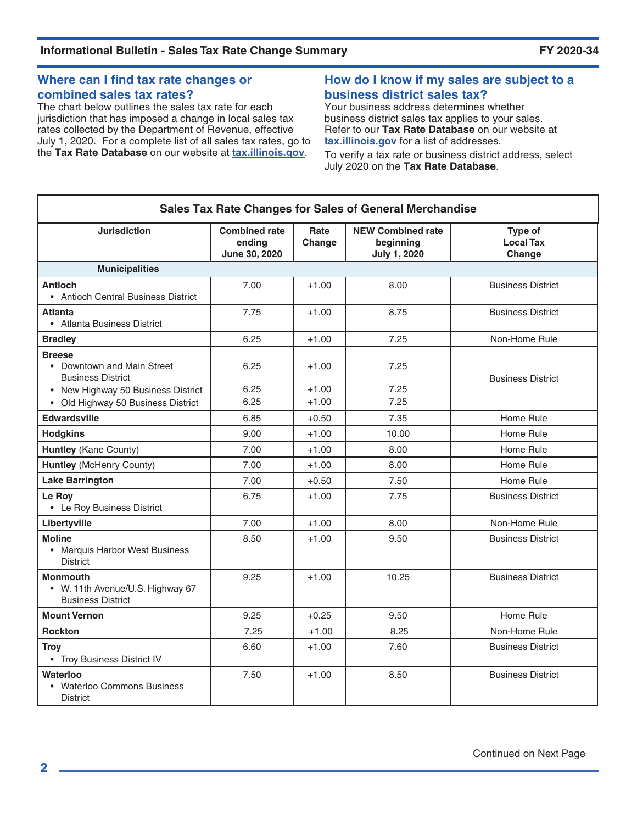#### **Where can I find tax rate changes or combined sales tax rates?**

The chart below outlines the sales tax rate for each jurisdiction that has imposed a change in local sales tax rates collected by the Department of Revenue, effective July 1, 2020. For a complete list of all sales tax rates, go to the **Tax Rate Database** on our website at **[tax.illinois.gov](https://www2.illinois.gov/rev/Pages/default.aspx)**.

#### **How do I know if my sales are subject to a business district sales tax?**

Your business address determines whether business district sales tax applies to your sales. Refer to our **Tax Rate Database** on our website at **[tax.illinois.gov](https://www2.illinois.gov/rev/Pages/default.aspx)** for a list of addresses.

To verify a tax rate or business district address, select July 2020 on the **Tax Rate Database**.

| Sales Tax Rate Changes for Sales of General Merchandise                         |                                                 |                    |                                                              |                                       |  |  |
|---------------------------------------------------------------------------------|-------------------------------------------------|--------------------|--------------------------------------------------------------|---------------------------------------|--|--|
| <b>Jurisdiction</b>                                                             | <b>Combined rate</b><br>endina<br>June 30, 2020 | Rate<br>Change     | <b>NEW Combined rate</b><br>beginning<br><b>July 1, 2020</b> | Type of<br><b>Local Tax</b><br>Change |  |  |
| <b>Municipalities</b>                                                           |                                                 |                    |                                                              |                                       |  |  |
| <b>Antioch</b><br>• Antioch Central Business District                           | 7.00                                            | $+1.00$            | 8.00                                                         | <b>Business District</b>              |  |  |
| <b>Atlanta</b><br>• Atlanta Business District                                   | 7.75                                            | $+1.00$            | 8.75                                                         | <b>Business District</b>              |  |  |
| <b>Bradley</b>                                                                  | 6.25                                            | $+1.00$            | 7.25                                                         | Non-Home Rule                         |  |  |
| <b>Breese</b><br>• Downtown and Main Street<br><b>Business District</b>         | 6.25<br>6.25                                    | $+1.00$            | 7.25<br>7.25                                                 | <b>Business District</b>              |  |  |
| • New Highway 50 Business District<br>• Old Highway 50 Business District        | 6.25                                            | $+1.00$<br>$+1.00$ | 7.25                                                         |                                       |  |  |
| <b>Edwardsville</b>                                                             | 6.85                                            | $+0.50$            | 7.35                                                         | Home Rule                             |  |  |
| <b>Hodgkins</b>                                                                 | 9.00                                            | $+1.00$            | 10.00                                                        | Home Rule                             |  |  |
| Huntley (Kane County)                                                           | 7.00                                            | $+1.00$            | 8.00                                                         | Home Rule                             |  |  |
| <b>Huntley (McHenry County)</b>                                                 | 7.00                                            | $+1.00$            | 8.00                                                         | Home Rule                             |  |  |
| <b>Lake Barrington</b>                                                          | 7.00                                            | $+0.50$            | 7.50                                                         | Home Rule                             |  |  |
| Le Roy<br>• Le Roy Business District                                            | 6.75                                            | $+1.00$            | 7.75                                                         | <b>Business District</b>              |  |  |
| Libertyville                                                                    | 7.00                                            | $+1.00$            | 8.00                                                         | Non-Home Rule                         |  |  |
| <b>Moline</b><br>• Marquis Harbor West Business<br><b>District</b>              | 8.50                                            | $+1.00$            | 9.50                                                         | <b>Business District</b>              |  |  |
| <b>Monmouth</b><br>• W. 11th Avenue/U.S. Highway 67<br><b>Business District</b> | 9.25                                            | $+1.00$            | 10.25                                                        | <b>Business District</b>              |  |  |
| <b>Mount Vernon</b>                                                             | 9.25                                            | $+0.25$            | 9.50                                                         | Home Rule                             |  |  |
| <b>Rockton</b>                                                                  | 7.25                                            | $+1.00$            | 8.25                                                         | Non-Home Rule                         |  |  |
| <b>Troy</b><br>• Troy Business District IV                                      | 6.60                                            | $+1.00$            | 7.60                                                         | <b>Business District</b>              |  |  |
| Waterloo<br>• Waterloo Commons Business<br><b>District</b>                      | 7.50                                            | $+1.00$            | 8.50                                                         | <b>Business District</b>              |  |  |